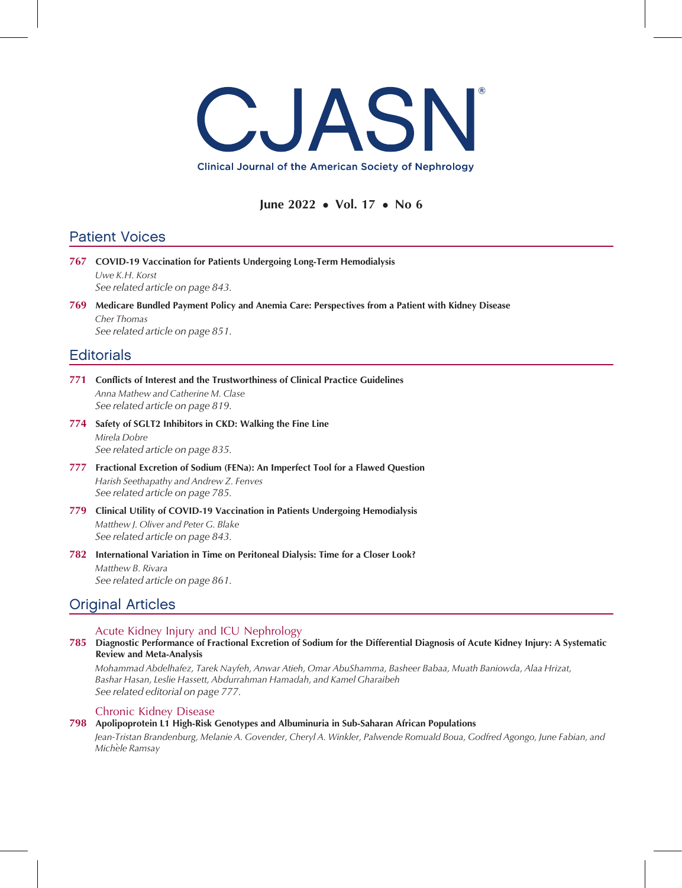

## June 2022 • Vol. 17 • No 6

# Patient Voices

- 767 COVID-19 Vaccination for Patients Undergoing Long-Term Hemodialysis Uwe K.H. Korst See related article on page 843. 769 Medicare Bundled Payment Policy and Anemia Care: Perspectives from a Patient with Kidney Disease Cher Thomas See related article on page 851. **Editorials**
- 771 Conflicts of Interest and the Trustworthiness of Clinical Practice Guidelines Anna Mathew and Catherine M. Clase See related article on page 819.
- 774 Safety of SGLT2 Inhibitors in CKD: Walking the Fine Line Mirela Dobre See related article on page 835.
- 777 Fractional Excretion of Sodium (FENa): An Imperfect Tool for a Flawed Question Harish Seethapathy and Andrew Z. Fenves See related article on page 785.
- 779 Clinical Utility of COVID-19 Vaccination in Patients Undergoing Hemodialysis Matthew J. Oliver and Peter G. Blake See related article on page 843.
- 782 International Variation in Time on Peritoneal Dialysis: Time for a Closer Look? Matthew B. Rivara See related article on page 861.

# Original Articles

### Acute Kidney Injury and ICU Nephrology

### 785 Diagnostic Performance of Fractional Excretion of Sodium for the Differential Diagnosis of Acute Kidney Injury: A Systematic Review and Meta-Analysis

Mohammad Abdelhafez, Tarek Nayfeh, Anwar Atieh, Omar AbuShamma, Basheer Babaa, Muath Baniowda, Alaa Hrizat, Bashar Hasan, Leslie Hassett, Abdurrahman Hamadah, and Kamel Gharaibeh See related editorial on page 777.

### Chronic Kidney Disease

### 798 Apolipoprotein L1 High-Risk Genotypes and Albuminuria in Sub-Saharan African Populations

Jean-Tristan Brandenburg, Melanie A. Govender, Cheryl A. Winkler, Palwende Romuald Boua, Godfred Agongo, June Fabian, and Michèle Ramsay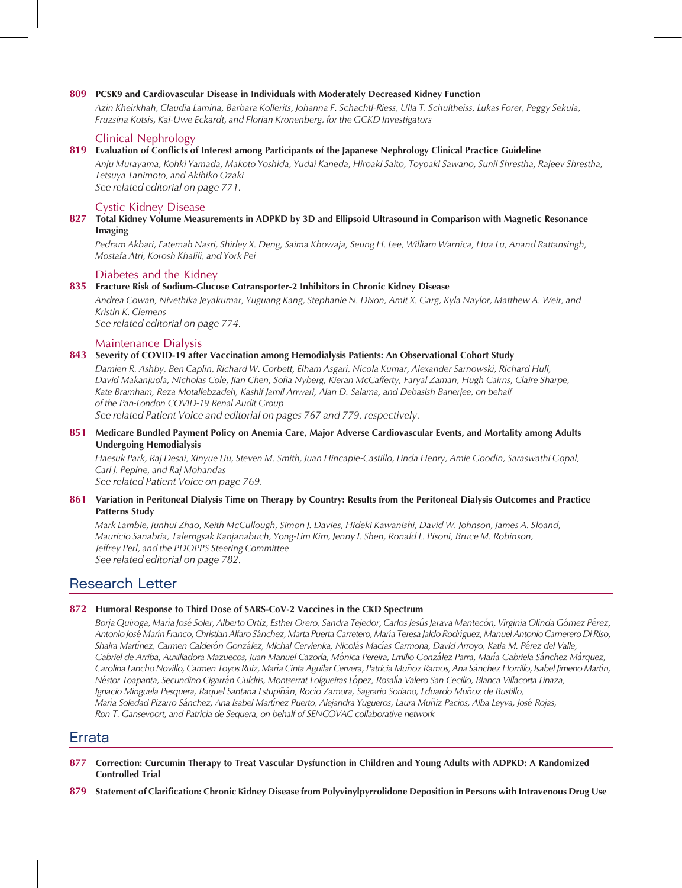#### 809 PCSK9 and Cardiovascular Disease in Individuals with Moderately Decreased Kidney Function

Azin Kheirkhah, Claudia Lamina, Barbara Kollerits, Johanna F. Schachtl-Riess, Ulla T. Schultheiss, Lukas Forer, Peggy Sekula, Fruzsina Kotsis, Kai-Uwe Eckardt, and Florian Kronenberg, for the GCKD Investigators

#### Clinical Nephrology

#### 819 Evaluation of Conflicts of Interest among Participants of the Japanese Nephrology Clinical Practice Guideline

Anju Murayama, Kohki Yamada, Makoto Yoshida, Yudai Kaneda, Hiroaki Saito, Toyoaki Sawano, Sunil Shrestha, Rajeev Shrestha, Tetsuya Tanimoto, and Akihiko Ozaki See related editorial on page 771.

Cystic Kidney Disease

#### 827 Total Kidney Volume Measurements in ADPKD by 3D and Ellipsoid Ultrasound in Comparison with Magnetic Resonance Imaging

Pedram Akbari, Fatemah Nasri, Shirley X. Deng, Saima Khowaja, Seung H. Lee, William Warnica, Hua Lu, Anand Rattansingh, Mostafa Atri, Korosh Khalili, and York Pei

#### Diabetes and the Kidney

#### 835 Fracture Risk of Sodium-Glucose Cotransporter-2 Inhibitors in Chronic Kidney Disease

Andrea Cowan, Nivethika Jeyakumar, Yuguang Kang, Stephanie N. Dixon, Amit X. Garg, Kyla Naylor, Matthew A. Weir, and Kristin K. Clemens

See related editorial on page 774.

#### Maintenance Dialysis

#### 843 Severity of COVID-19 after Vaccination among Hemodialysis Patients: An Observational Cohort Study

Damien R. Ashby, Ben Caplin, Richard W. Corbett, Elham Asgari, Nicola Kumar, Alexander Sarnowski, Richard Hull, David Makanjuola, Nicholas Cole, Jian Chen, Sofia Nyberg, Kieran McCafferty, Faryal Zaman, Hugh Cairns, Claire Sharpe, Kate Bramham, Reza Motallebzadeh, Kashif Jamil Anwari, Alan D. Salama, and Debasish Banerjee, on behalf of the Pan-London COVID-19 Renal Audit Group See related Patient Voice and editorial on pages 767 and 779, respectively.

#### 851 Medicare Bundled Payment Policy on Anemia Care, Major Adverse Cardiovascular Events, and Mortality among Adults Undergoing Hemodialysis

Haesuk Park, Raj Desai, Xinyue Liu, Steven M. Smith, Juan Hincapie-Castillo, Linda Henry, Amie Goodin, Saraswathi Gopal, Carl J. Pepine, and Raj Mohandas

See related Patient Voice on page 769.

#### 861 Variation in Peritoneal Dialysis Time on Therapy by Country: Results from the Peritoneal Dialysis Outcomes and Practice Patterns Study

Mark Lambie, Junhui Zhao, Keith McCullough, Simon J. Davies, Hideki Kawanishi, David W. Johnson, James A. Sloand, Mauricio Sanabria, Talerngsak Kanjanabuch, Yong-Lim Kim, Jenny I. Shen, Ronald L. Pisoni, Bruce M. Robinson, Jeffrey Perl, and the PDOPPS Steering Committee See related editorial on page 782.

## Research Letter

#### 872 Humoral Response to Third Dose of SARS-CoV-2 Vaccines in the CKD Spectrum

Borja Quiroga, María José Soler, Alberto Ortiz, Esther Orero, Sandra Tejedor, Carlos Jesús Jarava Mantecón, Virginia Olinda Gómez Pérez, Antonio José Marín Franco, Christian Alfaro Sánchez, Marta Puerta Carretero, María Teresa Jaldo Rodríguez, Manuel Antonio Carnerero Di Riso, Shaira Martínez, Carmen Calderón González, Michal Cervienka, Nicolás Macías Carmona, David Arroyo, Katia M. Pérez del Valle, Gabriel de Arriba, Auxiliadora Mazuecos, Juan Manuel Cazorla, Mónica Pereira, Emilio González Parra, María Gabriela Sánchez Márquez, Carolina Lancho Novillo, Carmen Toyos Ruiz, María Cinta Aguilar Cervera, Patricia Muñoz Ramos, Ana Sánchez Horrillo, Isabel Jimeno Martín, Néstor Toapanta, Secundino Cigarrán Guldris, Montserrat Folgueiras López, Rosalía Valero San Cecilio, Blanca Villacorta Linaza, Ignacio Minguela Pesquera, Raquel Santana Estupiñán, Rocío Zamora, Sagrario Soriano, Eduardo Muñoz de Bustillo, María Soledad Pizarro Sánchez, Ana Isabel Martínez Puerto, Alejandra Yugueros, Laura Muñiz Pacios, Alba Leyva, José Rojas, Ron T. Gansevoort, and Patricia de Sequera, on behalf of SENCOVAC collaborative network

## Errata

- 877 Correction: Curcumin Therapy to Treat Vascular Dysfunction in Children and Young Adults with ADPKD: A Randomized Controlled Trial
- 879 Statement of Clarification: Chronic Kidney Disease from Polyvinylpyrrolidone Deposition in Persons with Intravenous Drug Use